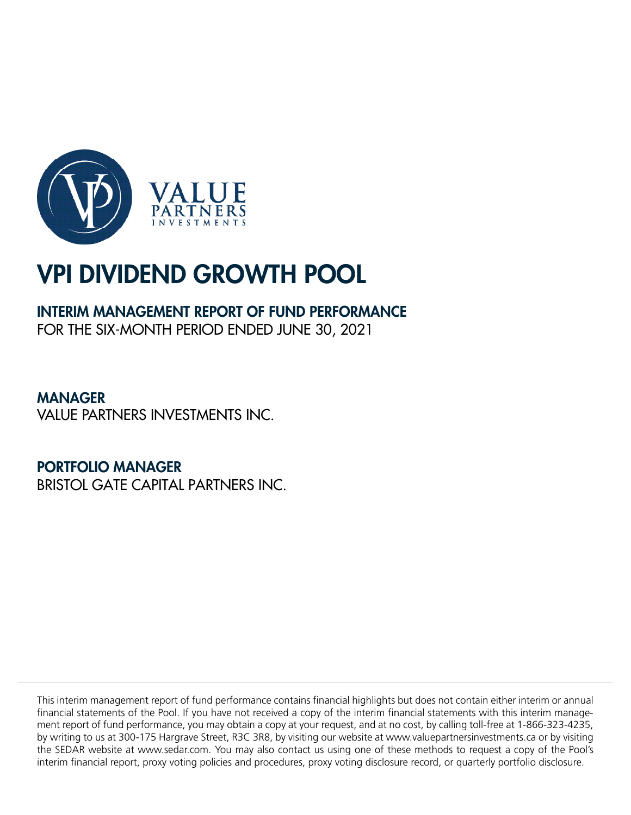

# INTERIM MANAGEMENT REPORT OF FUND PERFORMANCE

FOR THE SIX-MONTH PERIOD ENDED JUNE 30, 2021

MANAGER VALUE PARTNERS INVESTMENTS INC.

PORTFOLIO MANAGER BRISTOL GATE CAPITAL PARTNERS INC.

This interim management report of fund performance contains financial highlights but does not contain either interim or annual financial statements of the Pool. If you have not received a copy of the interim financial statements with this interim management report of fund performance, you may obtain a copy at your request, and at no cost, by calling toll-free at 1-866-323-4235, by writing to us at 300-175 Hargrave Street, R3C 3R8, by visiting our website at www.valuepartnersinvestments.ca or by visiting the SEDAR website at www.sedar.com. You may also contact us using one of these methods to request a copy of the Pool's interim financial report, proxy voting policies and procedures, proxy voting disclosure record, or quarterly portfolio disclosure.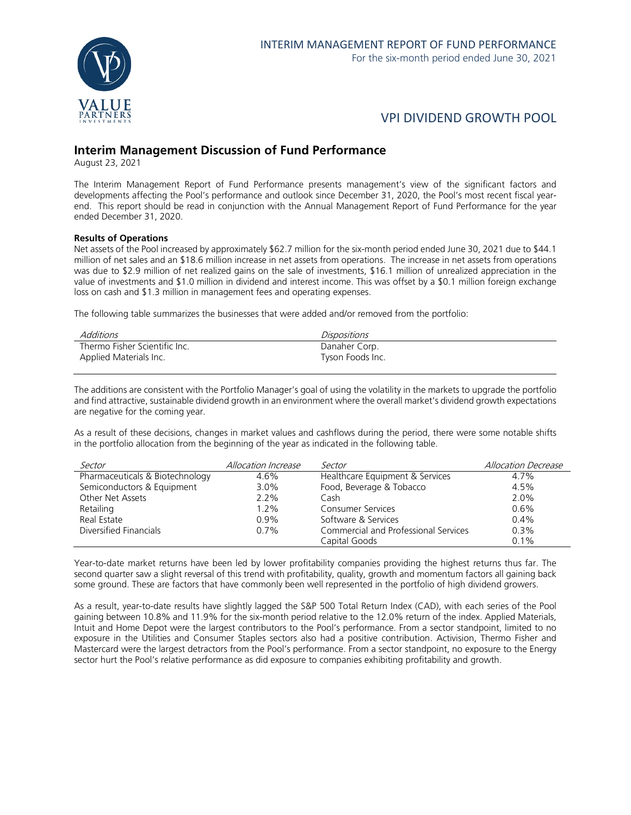

## **Interim Management Discussion of Fund Performance**

August 23, 2021

The Interim Management Report of Fund Performance presents management's view of the significant factors and developments affecting the Pool's performance and outlook since December 31, 2020, the Pool's most recent fiscal yearend. This report should be read in conjunction with the Annual Management Report of Fund Performance for the year ended December 31, 2020.

#### **Results of Operations**

Net assets of the Pool increased by approximately \$62.7 million for the six-month period ended June 30, 2021 due to \$44.1 million of net sales and an \$18.6 million increase in net assets from operations. The increase in net assets from operations was due to \$2.9 million of net realized gains on the sale of investments, \$16.1 million of unrealized appreciation in the value of investments and \$1.0 million in dividend and interest income. This was offset by a \$0.1 million foreign exchange loss on cash and \$1.3 million in management fees and operating expenses.

The following table summarizes the businesses that were added and/or removed from the portfolio:

| Additions                     | Dispositions     |
|-------------------------------|------------------|
| Thermo Fisher Scientific Inc. | Danaher Corp.    |
| Applied Materials Inc.        | Tyson Foods Inc. |

The additions are consistent with the Portfolio Manager's goal of using the volatility in the markets to upgrade the portfolio and find attractive, sustainable dividend growth in an environment where the overall market's dividend growth expectations are negative for the coming year.

As a result of these decisions, changes in market values and cashflows during the period, there were some notable shifts in the portfolio allocation from the beginning of the year as indicated in the following table.

| Sector                          | Allocation Increase | Sector                               | Allocation Decrease |
|---------------------------------|---------------------|--------------------------------------|---------------------|
| Pharmaceuticals & Biotechnology | 4.6%                | Healthcare Equipment & Services      | 4.7%                |
| Semiconductors & Equipment      | $3.0\%$             | Food, Beverage & Tobacco             | 4.5%                |
| Other Net Assets                | 2.2%                | Cash                                 | 2.0%                |
| Retailing                       | $1.2\%$             | <b>Consumer Services</b>             | 0.6%                |
| Real Estate                     | 0.9%                | Software & Services                  | $0.4\%$             |
| Diversified Financials          | 0.7%                | Commercial and Professional Services | 0.3%                |
|                                 |                     | Capital Goods                        | 0.1%                |

Year-to-date market returns have been led by lower profitability companies providing the highest returns thus far. The second quarter saw a slight reversal of this trend with profitability, quality, growth and momentum factors all gaining back some ground. These are factors that have commonly been well represented in the portfolio of high dividend growers.

As a result, year-to-date results have slightly lagged the S&P 500 Total Return Index (CAD), with each series of the Pool gaining between 10.8% and 11.9% for the six-month period relative to the 12.0% return of the index. Applied Materials, Intuit and Home Depot were the largest contributors to the Pool's performance. From a sector standpoint, limited to no exposure in the Utilities and Consumer Staples sectors also had a positive contribution. Activision, Thermo Fisher and Mastercard were the largest detractors from the Pool's performance. From a sector standpoint, no exposure to the Energy sector hurt the Pool's relative performance as did exposure to companies exhibiting profitability and growth.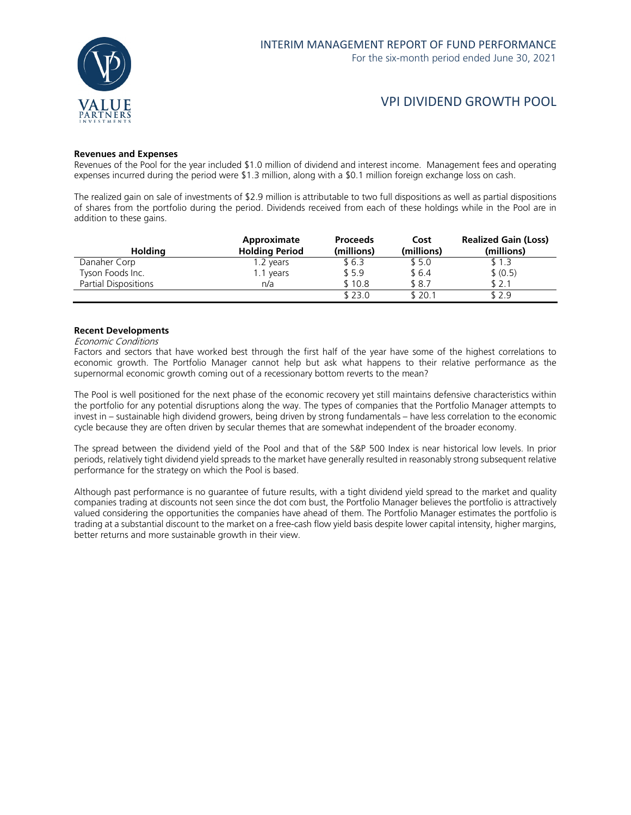

# VPI DIVIDEND GROWTH POOL

#### **Revenues and Expenses**

Revenues of the Pool for the year included \$1.0 million of dividend and interest income. Management fees and operating expenses incurred during the period were \$1.3 million, along with a \$0.1 million foreign exchange loss on cash.

The realized gain on sale of investments of \$2.9 million is attributable to two full dispositions as well as partial dispositions of shares from the portfolio during the period. Dividends received from each of these holdings while in the Pool are in addition to these gains.

| <b>Holding</b>       | Approximate<br><b>Holding Period</b> | <b>Proceeds</b><br>(millions) | Cost<br>(millions) | <b>Realized Gain (Loss)</b><br>(millions) |
|----------------------|--------------------------------------|-------------------------------|--------------------|-------------------------------------------|
| Danaher Corp         | 1.2 years                            | \$ 6.3                        | \$5.0              | \$1.3                                     |
| Tyson Foods Inc.     | 1.1 years                            | \$5.9                         | \$6.4              | \$ (0.5)                                  |
| Partial Dispositions | n/a                                  | \$10.8                        | \$8.7              | \$2.1                                     |
|                      |                                      | \$23.0                        | \$ 20.1            | \$2.9                                     |

#### **Recent Developments**

#### Economic Conditions

Factors and sectors that have worked best through the first half of the year have some of the highest correlations to economic growth. The Portfolio Manager cannot help but ask what happens to their relative performance as the supernormal economic growth coming out of a recessionary bottom reverts to the mean?

The Pool is well positioned for the next phase of the economic recovery yet still maintains defensive characteristics within the portfolio for any potential disruptions along the way. The types of companies that the Portfolio Manager attempts to invest in – sustainable high dividend growers, being driven by strong fundamentals – have less correlation to the economic cycle because they are often driven by secular themes that are somewhat independent of the broader economy.

The spread between the dividend yield of the Pool and that of the S&P 500 Index is near historical low levels. In prior periods, relatively tight dividend yield spreads to the market have generally resulted in reasonably strong subsequent relative performance for the strategy on which the Pool is based.

Although past performance is no guarantee of future results, with a tight dividend yield spread to the market and quality companies trading at discounts not seen since the dot com bust, the Portfolio Manager believes the portfolio is attractively valued considering the opportunities the companies have ahead of them. The Portfolio Manager estimates the portfolio is trading at a substantial discount to the market on a free-cash flow yield basis despite lower capital intensity, higher margins, better returns and more sustainable growth in their view.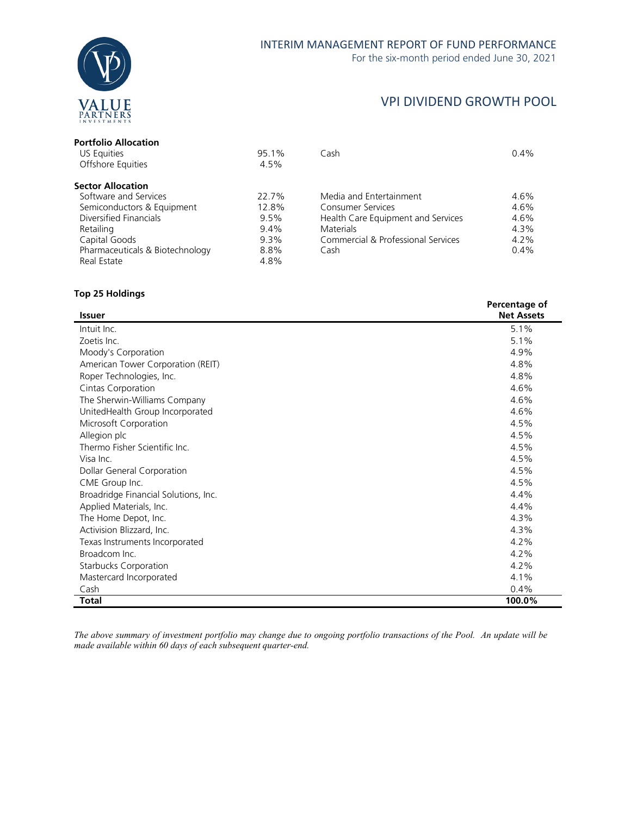

# VPI DIVIDEND GROWTH POOL

| 95.1%   | Cash                               | 0.4%    |
|---------|------------------------------------|---------|
| 4.5%    |                                    |         |
|         |                                    |         |
| 22.7%   | Media and Entertainment            | 4.6%    |
| 12.8%   | Consumer Services                  | 4.6%    |
| 9.5%    | Health Care Equipment and Services | 4.6%    |
| $9.4\%$ | <b>Materials</b>                   | 4.3%    |
| $9.3\%$ | Commercial & Professional Services | $4.2\%$ |
| 8.8%    | Cash                               | 0.4%    |
| 4.8%    |                                    |         |
|         |                                    |         |

### **Top 25 Holdings**

|                                      | Percentage of     |
|--------------------------------------|-------------------|
| <b>Issuer</b>                        | <b>Net Assets</b> |
| Intuit Inc.                          | 5.1%              |
| Zoetis Inc.                          | 5.1%              |
| Moody's Corporation                  | 4.9%              |
| American Tower Corporation (REIT)    | 4.8%              |
| Roper Technologies, Inc.             | 4.8%              |
| Cintas Corporation                   | 4.6%              |
| The Sherwin-Williams Company         | 4.6%              |
| UnitedHealth Group Incorporated      | 4.6%              |
| Microsoft Corporation                | 4.5%              |
| Allegion plc                         | 4.5%              |
| Thermo Fisher Scientific Inc.        | 4.5%              |
| Visa Inc.                            | 4.5%              |
| Dollar General Corporation           | 4.5%              |
| CME Group Inc.                       | 4.5%              |
| Broadridge Financial Solutions, Inc. | 4.4%              |
| Applied Materials, Inc.              | 4.4%              |
| The Home Depot, Inc.                 | 4.3%              |
| Activision Blizzard, Inc.            | 4.3%              |
| Texas Instruments Incorporated       | 4.2%              |
| Broadcom Inc.                        | 4.2%              |
| <b>Starbucks Corporation</b>         | 4.2%              |
| Mastercard Incorporated              | 4.1%              |
| Cash                                 | 0.4%              |
| <b>Total</b>                         | 100.0%            |

*The above summary of investment portfolio may change due to ongoing portfolio transactions of the Pool. An update will be made available within 60 days of each subsequent quarter-end.*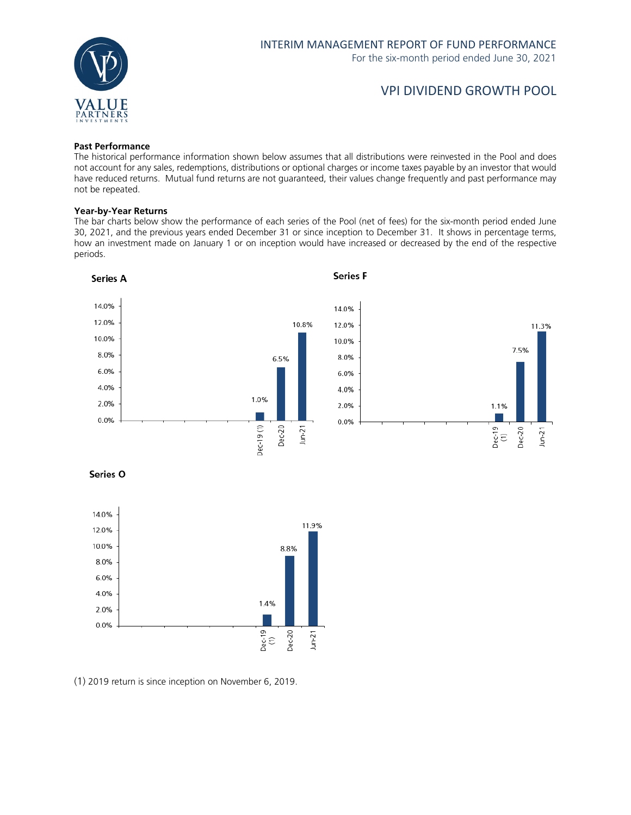

# VPI DIVIDEND GROWTH POOL

#### **Past Performance**

The historical performance information shown below assumes that all distributions were reinvested in the Pool and does not account for any sales, redemptions, distributions or optional charges or income taxes payable by an investor that would have reduced returns. Mutual fund returns are not guaranteed, their values change frequently and past performance may not be repeated.

#### **Year-by-Year Returns**

The bar charts below show the performance of each series of the Pool (net of fees) for the six-month period ended June 30, 2021, and the previous years ended December 31 or since inception to December 31. It shows in percentage terms, how an investment made on January 1 or on inception would have increased or decreased by the end of the respective periods.



Series O



(1) 2019 return is since inception on November 6, 2019.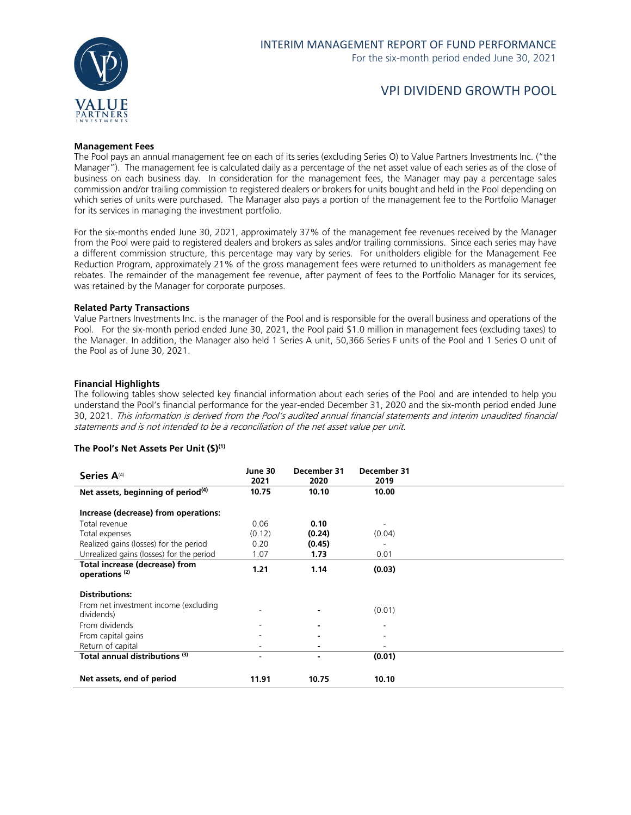

# VPI DIVIDEND GROWTH POOL

#### **Management Fees**

The Pool pays an annual management fee on each of its series (excluding Series O) to Value Partners Investments Inc. ("the Manager"). The management fee is calculated daily as a percentage of the net asset value of each series as of the close of business on each business day. In consideration for the management fees, the Manager may pay a percentage sales commission and/or trailing commission to registered dealers or brokers for units bought and held in the Pool depending on which series of units were purchased. The Manager also pays a portion of the management fee to the Portfolio Manager for its services in managing the investment portfolio.

For the six-months ended June 30, 2021, approximately 37% of the management fee revenues received by the Manager from the Pool were paid to registered dealers and brokers as sales and/or trailing commissions. Since each series may have a different commission structure, this percentage may vary by series. For unitholders eligible for the Management Fee Reduction Program, approximately 21% of the gross management fees were returned to unitholders as management fee rebates. The remainder of the management fee revenue, after payment of fees to the Portfolio Manager for its services, was retained by the Manager for corporate purposes.

#### **Related Party Transactions**

Value Partners Investments Inc. is the manager of the Pool and is responsible for the overall business and operations of the Pool. For the six-month period ended June 30, 2021, the Pool paid \$1.0 million in management fees (excluding taxes) to the Manager. In addition, the Manager also held 1 Series A unit, 50,366 Series F units of the Pool and 1 Series O unit of the Pool as of June 30, 2021.

#### **Financial Highlights**

The following tables show selected key financial information about each series of the Pool and are intended to help you understand the Pool's financial performance for the year-ended December 31, 2020 and the six-month period ended June 30, 2021. This information is derived from the Pool's audited annual financial statements and interim unaudited financial statements and is not intended to be a reconciliation of the net asset value per unit.

#### **The Pool's Net Assets Per Unit (\$)(1)**

| Series A <sup>(4)</sup>                                     | June 30<br>2021 | December 31<br>2020 | December 31<br>2019 |  |
|-------------------------------------------------------------|-----------------|---------------------|---------------------|--|
| Net assets, beginning of period <sup>(4)</sup>              | 10.75           | 10.10               | 10.00               |  |
| Increase (decrease) from operations:                        |                 |                     |                     |  |
| Total revenue                                               | 0.06            | 0.10                |                     |  |
| Total expenses                                              | (0.12)          | (0.24)              | (0.04)              |  |
| Realized gains (losses) for the period                      | 0.20            | (0.45)              |                     |  |
| Unrealized gains (losses) for the period                    | 1.07            | 1.73                | 0.01                |  |
| Total increase (decrease) from<br>operations <sup>(2)</sup> | 1.21            | 1.14                | (0.03)              |  |
| <b>Distributions:</b>                                       |                 |                     |                     |  |
| From net investment income (excluding<br>dividends)         |                 | $\blacksquare$      | (0.01)              |  |
| From dividends                                              |                 |                     |                     |  |
| From capital gains                                          |                 | ٠                   |                     |  |
| Return of capital                                           |                 |                     |                     |  |
| Total annual distributions (3)                              | ٠               | $\blacksquare$      | (0.01)              |  |
|                                                             |                 |                     |                     |  |
| Net assets, end of period                                   | 11.91           | 10.75               | 10.10               |  |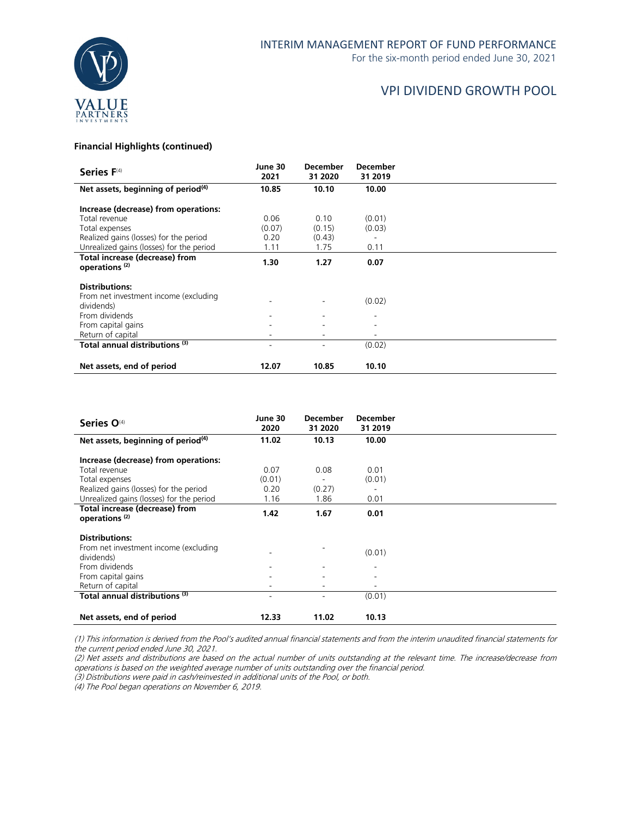

### **Financial Highlights (continued)**

| Series F(4)                                                 | June 30<br>2021 | <b>December</b><br>31 2020 | <b>December</b><br>31 2019 |  |
|-------------------------------------------------------------|-----------------|----------------------------|----------------------------|--|
| Net assets, beginning of period <sup>(4)</sup>              | 10.85           | 10.10                      | 10.00                      |  |
| Increase (decrease) from operations:                        |                 |                            |                            |  |
| Total revenue                                               | 0.06            | 0.10                       | (0.01)                     |  |
| Total expenses                                              | (0.07)          | (0.15)                     | (0.03)                     |  |
| Realized gains (losses) for the period                      | 0.20            | (0.43)                     |                            |  |
| Unrealized gains (losses) for the period                    | 1.11            | 1.75                       | 0.11                       |  |
| Total increase (decrease) from<br>operations <sup>(2)</sup> | 1.30            | 1.27                       | 0.07                       |  |
| <b>Distributions:</b>                                       |                 |                            |                            |  |
| From net investment income (excluding<br>dividends)         |                 |                            | (0.02)                     |  |
| From dividends                                              |                 |                            |                            |  |
| From capital gains                                          |                 |                            | ۰                          |  |
| Return of capital                                           |                 |                            | ۰                          |  |
| Total annual distributions (3)                              | ۰               | $\overline{\phantom{0}}$   | (0.02)                     |  |
| Net assets, end of period                                   | 12.07           | 10.85                      | 10.10                      |  |

| Series O <sup>(4)</sup>                                                      | June 30<br>2020          | <b>December</b><br>31 2020 | <b>December</b><br>31 2019 |  |
|------------------------------------------------------------------------------|--------------------------|----------------------------|----------------------------|--|
| Net assets, beginning of period <sup>(4)</sup>                               | 11.02                    | 10.13                      | 10.00                      |  |
| Increase (decrease) from operations:                                         |                          |                            |                            |  |
| Total revenue                                                                | 0.07                     | 0.08                       | 0.01                       |  |
| Total expenses                                                               | (0.01)                   |                            | (0.01)                     |  |
| Realized gains (losses) for the period                                       | 0.20                     | (0.27)                     |                            |  |
| Unrealized gains (losses) for the period                                     | 1.16                     | 1.86                       | 0.01                       |  |
| Total increase (decrease) from<br>operations <sup>(2)</sup>                  | 1.42                     | 1.67                       | 0.01                       |  |
| <b>Distributions:</b><br>From net investment income (excluding<br>dividends) |                          |                            | (0.01)                     |  |
| From dividends                                                               |                          |                            |                            |  |
| From capital gains                                                           |                          |                            |                            |  |
| Return of capital                                                            |                          |                            |                            |  |
| Total annual distributions (3)                                               | $\overline{\phantom{a}}$ | ٠                          | (0.01)                     |  |
| Net assets, end of period                                                    | 12.33                    | 11.02                      | 10.13                      |  |

(1) This information is derived from the Pool's audited annual financial statements and from the interim unaudited financial statements for the current period ended June 30, 2021.

(2) Net assets and distributions are based on the actual number of units outstanding at the relevant time. The increase/decrease from operations is based on the weighted average number of units outstanding over the financial period.

(3) Distributions were paid in cash/reinvested in additional units of the Pool, or both.

(4) The Pool began operations on November 6, 2019.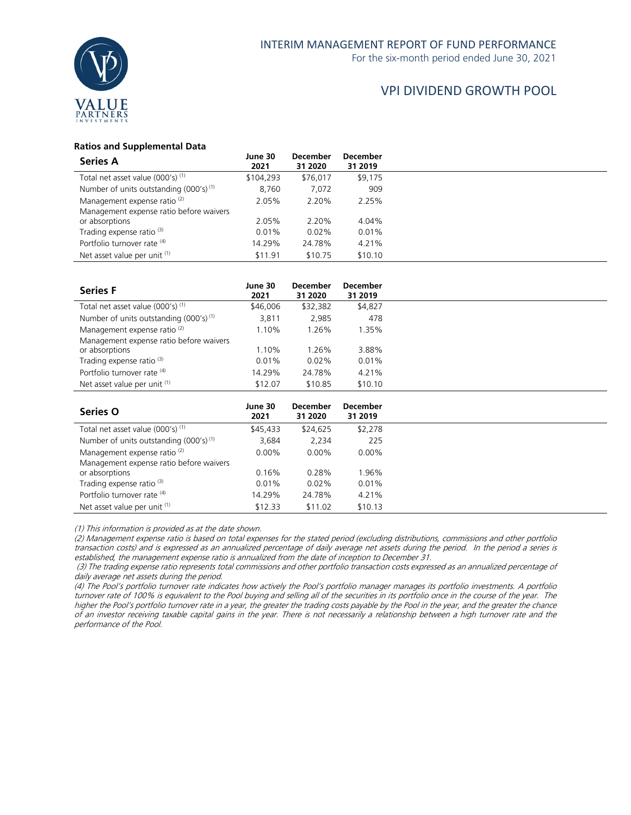

### **Ratios and Supplemental Data**

| <b>Series A</b>                              | June 30<br>2021 | <b>December</b><br>31 2020 | <b>December</b><br>31 2019 |
|----------------------------------------------|-----------------|----------------------------|----------------------------|
| Total net asset value (000's) <sup>(1)</sup> | \$104,293       | \$76,017                   | \$9,175                    |
| Number of units outstanding $(000's)^{(1)}$  | 8,760           | 7,072                      | 909                        |
| Management expense ratio <sup>(2)</sup>      | 2.05%           | 2.20%                      | 2.25%                      |
| Management expense ratio before waivers      |                 |                            |                            |
| or absorptions                               | 2.05%           | 2.20%                      | 4.04%                      |
| Trading expense ratio <sup>(3)</sup>         | 0.01%           | $0.02\%$                   | 0.01%                      |
| Portfolio turnover rate (4)                  | 14.29%          | 24.78%                     | 4.21%                      |
| Net asset value per unit (1)                 | \$11.91         | \$10.75                    | \$10.10                    |

| <b>Series F</b>                             | June 30<br>2021 | <b>December</b><br>31 2020 | <b>December</b><br>31 2019 |
|---------------------------------------------|-----------------|----------------------------|----------------------------|
| Total net asset value $(000's)^{(1)}$       | \$46,006        | \$32,382                   | \$4,827                    |
| Number of units outstanding $(000's)^{(1)}$ | 3,811           | 2,985                      | 478                        |
| Management expense ratio <sup>(2)</sup>     | 1.10%           | 1.26%                      | 1.35%                      |
| Management expense ratio before waivers     |                 |                            |                            |
| or absorptions                              | 1.10%           | 1.26%                      | 3.88%                      |
| Trading expense ratio <sup>(3)</sup>        | 0.01%           | 0.02%                      | 0.01%                      |
| Portfolio turnover rate (4)                 | 14.29%          | 24.78%                     | 4.21%                      |
| Net asset value per unit (1)                | \$12.07         | \$10.85                    | \$10.10                    |

| <b>Series O</b>                              | June 30<br>2021 | <b>December</b><br>31 2020 | <b>December</b><br>31 2019 |
|----------------------------------------------|-----------------|----------------------------|----------------------------|
| Total net asset value (000's) <sup>(1)</sup> | \$45,433        | \$24,625                   | \$2,278                    |
| Number of units outstanding $(000's)^{(1)}$  | 3.684           | 2.234                      | 225                        |
| Management expense ratio <sup>(2)</sup>      | $0.00\%$        | $0.00\%$                   | $0.00\%$                   |
| Management expense ratio before waivers      |                 |                            |                            |
| or absorptions                               | 0.16%           | 0.28%                      | 1.96%                      |
| Trading expense ratio <sup>(3)</sup>         | 0.01%           | 0.02%                      | 0.01%                      |
| Portfolio turnover rate (4)                  | 14.29%          | 24.78%                     | 4.21%                      |
| Net asset value per unit (1)                 | \$12.33         | \$11.02                    | \$10.13                    |

(1) This information is provided as at the date shown.

(2) Management expense ratio is based on total expenses for the stated period (excluding distributions, commissions and other portfolio transaction costs) and is expressed as an annualized percentage of daily average net assets during the period. In the period a series is established, the management expense ratio is annualized from the date of inception to December 31.

(3) The trading expense ratio represents total commissions and other portfolio transaction costs expressed as an annualized percentage of daily average net assets during the period.

(4) The Pool's portfolio turnover rate indicates how actively the Pool's portfolio manager manages its portfolio investments. A portfolio turnover rate of 100% is equivalent to the Pool buying and selling all of the securities in its portfolio once in the course of the year. The higher the Pool's portfolio turnover rate in a year, the greater the trading costs payable by the Pool in the year, and the greater the chance of an investor receiving taxable capital gains in the year. There is not necessarily a relationship between a high turnover rate and the performance of the Pool.